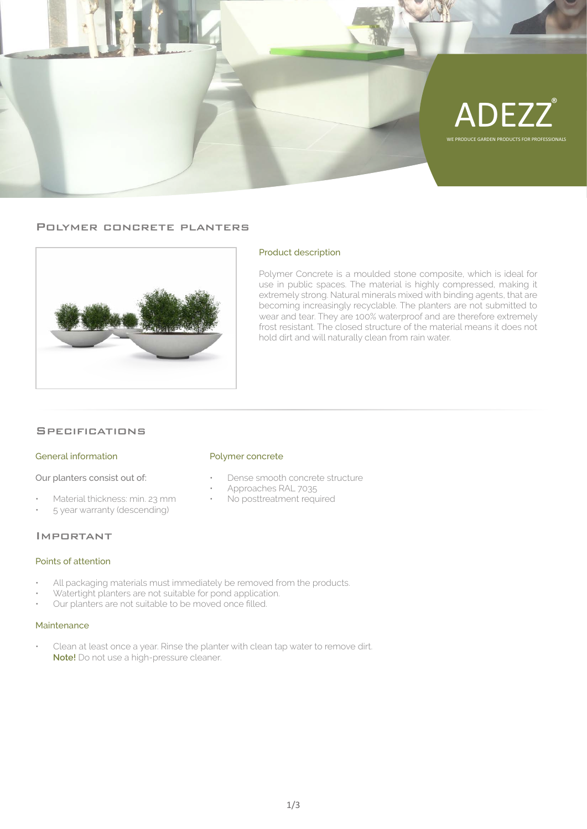

## Polymer concrete planters



## Product description

Polymer Concrete is a moulded stone composite, which is ideal for use in public spaces. The material is highly compressed, making it extremely strong. Natural minerals mixed with binding agents, that are becoming increasingly recyclable. The planters are not submitted to wear and tear. They are 100% waterproof and are therefore extremely frost resistant. The closed structure of the material means it does not hold dirt and will naturally clean from rain water.

## **SPECIFICATIONS**

#### General information

Our planters consist out of:

- Material thickness: min. 23 mm
- 5 year warranty (descending)

## Important

#### Points of attention

- All packaging materials must immediately be removed from the products.
- Watertight planters are not suitable for pond application.
- Our planters are not suitable to be moved once filled.

## Maintenance

• Clean at least once a year. Rinse the planter with clean tap water to remove dirt.  **Note!** Do not use a high-pressure cleaner.

#### Polymer concrete

- Dense smooth concrete structure
- Approaches RAL 7035
- No posttreatment required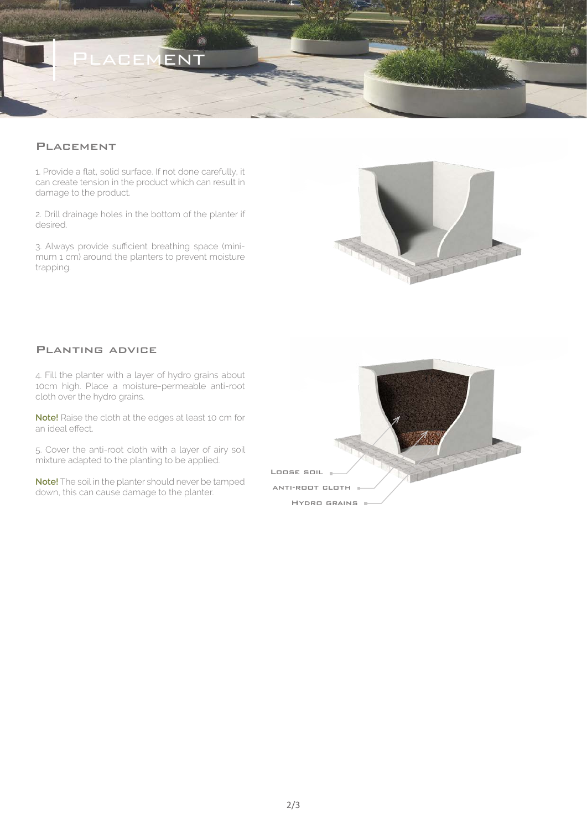

# **PLACEMENT**

1. Provide a flat, solid surface. If not done carefully, it can create tension in the product which can result in damage to the product.

2. Drill drainage holes in the bottom of the planter if desired.

3. Always provide sufficient breathing space (minimum 1 cm) around the planters to prevent moisture trapping.



# Planting advice

4. Fill the planter with a layer of hydro grains about 10cm high. Place a moisture-permeable anti-root cloth over the hydro grains.

**Note!** Raise the cloth at the edges at least 10 cm for an ideal effect.

5. Cover the anti-root cloth with a layer of airy soil mixture adapted to the planting to be applied.

**Note!** The soil in the planter should never be tamped down, this can cause damage to the planter.